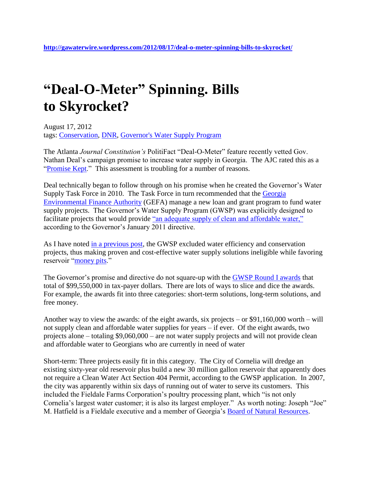## **"Deal-O-Meter" Spinning. Bills to Skyrocket?**

August 17, 2012 tags: [Conservation,](http://gawaterwire.wordpress.com/tag/conservation/) [DNR,](http://gawaterwire.wordpress.com/tag/dnr/) [Governor's Water Supply Program](http://gawaterwire.wordpress.com/tag/governors-water-supply-program/)

The Atlanta *Journal Constitution's* PolitiFact "Deal-O-Meter" feature recently vetted Gov. Nathan Deal's campaign promise to increase water supply in Georgia. The AJC rated this as a ["Promise Kept.](http://www.politifact.com/georgia/promises/deal-o-meter/promise/803/enhance-storage-capacity-for-the-states-water-res/)" This assessment is troubling for a number of reasons.

Deal technically began to follow through on his promise when he created the Governor's Water Supply Task Force in 2010. The Task Force in turn recommended that the [Georgia](http://www.gefa.org/Index.aspx?page=537)  [Environmental Finance Authority](http://www.gefa.org/Index.aspx?page=537) (GEFA) manage a new loan and grant program to fund water supply projects. The Governor's Water Supply Program (GWSP) was explicitly designed to facilitate projects that would provide ["an adequate supply of clean and affordable water,"](http://www.gefa.org/Modules/ShowDocument.aspx?documentid=1949) according to the Governor's January 2011 directive.

As I have noted [in a previous post,](http://gawaterwire.wordpress.com/2012/01/23/the-most-effective-approach-to-georgias-water-problems/) the GWSP excluded water efficiency and conservation projects, thus making proven and cost-effective water supply solutions ineligible while favoring reservoir ["money pits.](http://www.americanrivers.org/library/reports-publications/money-pit.html)"

The Governor's promise and directive do not square-up with the [GWSP Round I awards](http://www.gefa.org/Index.aspx?page=50&recordid=512&returnURL=%2Findex.aspx) that total of \$99,550,000 in tax-payer dollars. There are lots of ways to slice and dice the awards. For example, the awards fit into three categories: short-term solutions, long-term solutions, and free money.

Another way to view the awards: of the eight awards, six projects – or \$91,160,000 worth – will not supply clean and affordable water supplies for years – if ever. Of the eight awards, two projects alone – totaling \$9,060,000 – are not water supply projects and will not provide clean and affordable water to Georgians who are currently in need of water

Short-term: Three projects easily fit in this category. The City of Cornelia will dredge an existing sixty-year old reservoir plus build a new 30 million gallon reservoir that apparently does not require a Clean Water Act Section 404 Permit, according to the GWSP application. In 2007, the city was apparently within six days of running out of water to serve its customers. This included the Fieldale Farms Corporation's poultry processing plant, which "is not only Cornelia's largest water customer; it is also its largest employer." As worth noting: Joseph "Joe" M. Hatfield is a Fieldale executive and a member of Georgia's [Board of Natural Resources.](http://www.gadnr.org/board)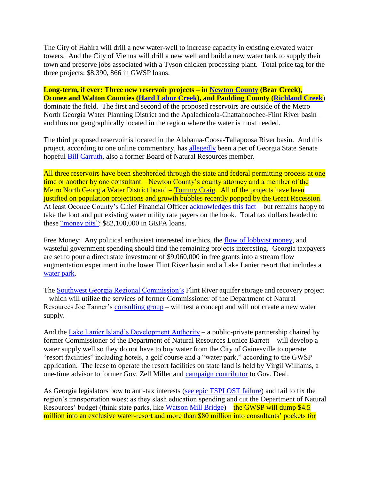The City of Hahira will drill a new water-well to increase capacity in existing elevated water towers. And the City of Vienna will drill a new well and build a new water tank to supply their town and preserve jobs associated with a Tyson chicken processing plant. Total price tag for the three projects: \$8,390, 866 in GWSP loans.

**Long-term, if ever: Three new reservoir projects – in [Newton County](http://www.covnews.com/section/1/article/31509/) (Bear Creek), Oconee and Walton Counties [\(Hard Labor Creek\)](http://gawaterwire.wordpress.com/2012/05/21/public-resources-private-dreams/), and Paulding County [\(Richland Creek](http://coosa.wordpress.com/2012/01/30/paulding-county-dam-plan-full-of-holes/)**) dominate the field. The first and second of the proposed reservoirs are outside of the Metro North Georgia Water Planning District and the Apalachicola-Chattahoochee-Flint River basin – and thus not geographically located in the region where the water is most needed.

The third proposed reservoir is located in the Alabama-Coosa-Tallapoosa River basin. And this project, according to one online commentary, has [allegedly](http://www.examiner.com/article/paulding-county-reservoir-a-reality-with-state-funding?cid=rss) been a pet of Georgia State Senate hopeful [Bill Carruth,](http://neighbornewspapers.com/bookmark/19827351-State-Senate-candidates-trade-charges-on-ethics-pledge) also a former Board of Natural Resources member.

All three reservoirs have been shepherded through the state and federal permitting process at one time or another by one consultant – Newton County's county attorney and a member of the Metro North Georgia Water District board – [Tommy Craig.](http://gawaterwire.wordpress.com/2011/07/27/%E2%80%9Ca-small-universe-of-people%E2%80%9D/) All of the projects have been justified on population projections and growth bubbles recently popped by the Great Recession. At least Oconee County's Chief Financial Officer [acknowledges this fact](http://flagpole.com/news/2012/aug/15/sea-c-notes/) – but remains happy to take the loot and put existing water utility rate payers on the hook. Total tax dollars headed to these ["money pits":](http://www.americanrivers.org/library/reports-publications/money-pit.html) \$82,100,000 in GEFA loans.

Free Money: Any political enthusiast interested in ethics, the [flow of lobbyist money,](http://gawaterwire.wordpress.com/2012/02/14/no-such-thing-as-a-free-lunch/) and wasteful government spending should find the remaining projects interesting. Georgia taxpayers are set to pour a direct state investment of \$9,060,000 in free grants into a stream flow augmentation experiment in the lower Flint River basin and a Lake Lanier resort that includes a [water park.](http://www.lakelanierislands.com/lanierworld)

The [Southwest Georgia Regional Commission's](http://www.swgrdc.org/) Flint River aquifer storage and recovery project – which will utilize the services of former Commissioner of the Department of Natural Resources Joe Tanner's [consulting group](http://www.joetanner.com/home.shtml) – will test a concept and will not create a new water supply.

And the [Lake Lanier Island's Development Authority](http://llida.georgia.gov/) – a public-private partnership chaired by former Commissioner of the Department of Natural Resources Lonice Barrett – will develop a water supply well so they do not have to buy water from the City of Gainesville to operate "resort facilities" including hotels, a golf course and a "water park," according to the GWSP application. The lease to operate the resort facilities on state land is held by Virgil Williams, a one-time advisor to former Gov. Zell Miller and [campaign contributor](http://www.bizjournals.com/atlanta/stories/2010/08/02/story4.html?page=all) to Gov. Deal.

As Georgia legislators bow to anti-tax interests [\(see epic TSPLOST failure\)](http://flagpole.com/news/2012/aug/15/capitol-impact/) and fail to fix the region's transportation woes; as they slash education spending and cut the Department of Natural Resources' budget (think state parks, like [Watson Mill Bridge\)](http://onlineathens.com/madison/2012-05-12/state-and-local-officials-residents-celebrate-watson-mills-return-state-park) – the GWSP will dump \$4.5 million into an exclusive water-resort and more than \$80 million into consultants' pockets for